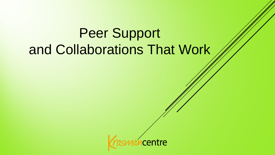# Peer Support and Collaborations That Work

centre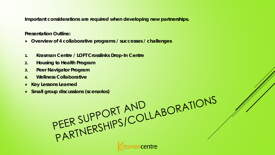**Important considerations are required when developing new partnerships.**

**Presentation Outline:**

- **Overview of 4 collaborative programs / successes / challenges**
- **1. Krasman Centre / LOFT Crosslinks Drop-In Centre**
- **2. Housing to Health Program**
- **3. Peer Navigator Program**
- **4. Wellness Collaborative**
- 
- **Small group discussions (scenarios)**

Explored Small group discussions (scenarios)<br>
FEER SUPPORT AND<br>
PEER SUPPORT AND<br>
PARTNERSHIPS/COLLABORATIONS **centre**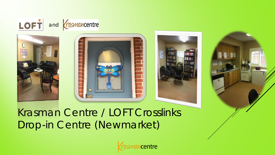







Krasman Centre / LOFT Crosslinks Drop-in Centre (Newmarket)

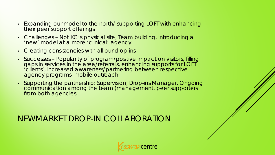- Expanding our model to the north/ supporting LOFT with enhancing their peer support offerings
- Challenges Not KC's physical site, Team building, Introducing a 'new' model at a more 'clinical' agency
- Creating consistencies with all our drop-ins
- Successes Popularity of program/positive impact on visitors, filling gaps in services in the area/referrals, enhancing supports for LOFT 'clients', increased awareness/partnering between respective agency programs, mobile outreach
- Supporting the partnership: Supervision, Drop-ins Manager, Ongoing communication among the team (management, peer supporters from both agencies.

NEWMARKET DROP-IN COLLABORATION

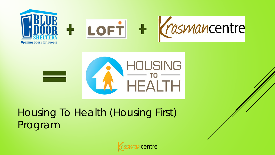



### Housing To Health (Housing First) Program

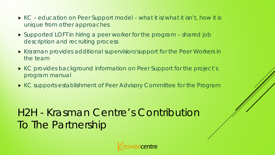- ► KC education on Peer Support model what it is/what it isn't, how it is unique from other approaches
- **Supported LOFT in hiring a peer worker for the program shared job** description and recruiting process
- **Krasman provides additional supervision/support for the Peer Workers in** the team
- ▶ KC provides background information on Peer Support for the project's program manual
- ▶ KC supports establishment of Peer Advisory Committee for the Program

### H2H - Krasman Centre's Contribution To The Partnership

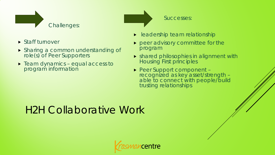

- ▶ Staff turnover
- Sharing a common understanding of role(s) of Peer Supporters
- **Figure 1** Team dynamics equal access to program information

Successes:

- **Leadership team relationship**
- **Peer advisory committee for the** program
- **>** shared philosophies in alignment with Housing First principles
- Peer Support component –<br>recognized as key asset/strength able to connect with people/build<br>trusting relationships

### H2H Collaborative Work

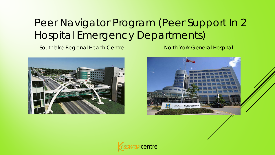### Peer Navigator Program (Peer Support In 2 Hospital Emergency Departments)

Southlake Regional Health Centre North York General Hospital







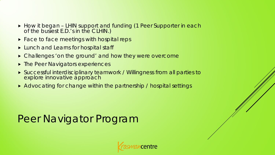- How it began LHIN support and funding (1 Peer Supporter in each of the busiest E.D.'s in the CLHIN.)
- **Face to face meetings with hospital reps**
- ► Lunch and Learns for hospital staff
- ▶ Challenges 'on the ground' and how they were overcome
- **Filte Peer Navigators experiences**
- Successful interdisciplinary teamwork / Willingness from all parties to explore innovative approach
- Advocating for change within the partnership / hospital settings

### Peer Navigator Program

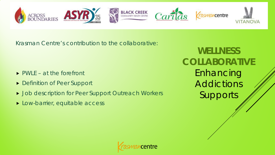

Krasman Centre's contribution to the collaborative:

- $\triangleright$  PWLE at the forefront
- **Definition of Peer Support**
- **DED Job description for Peer Support Outreach Workers**
- **Low-barrier, equitable access**

**WELLNESS COLLABORATIVE** Enhancing Addictions Supports

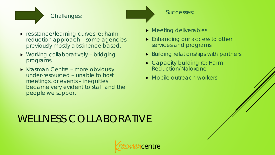#### Challenges:

- 
- Successes:

- **Figure**: resistance/learning curves re: harm reduction approach – some agencies previously mostly abstinence based.
- Working collaboratively bridging programs
- Krasman Centre more obviously under-resourced – unable to host meetings, or events – inequities became very evident to staff and the people we support
- **Meeting deliverables**
- **Enhancing our access to other** services and programs
- $\triangleright$  Building relationships with partners
- **Capacity building re: Harm** Reduction/Naloxone
- Mobile outreach workers

### WELLNESS COLLABORATIVE

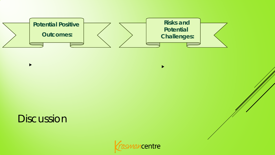

### Discussion

 $\blacktriangleright$ 



 $\blacktriangleright$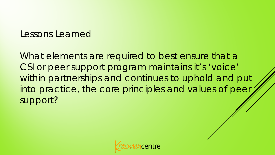### Lessons Learned

What elements are required to best ensure that a CSI or peer support program maintains it's 'voice' within partnerships and continues to uphold and put into practice, the core principles and values of peer support?

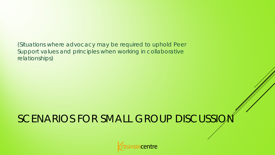(Situations where advocacy may be required to uphold Peer Support values and principles when working in collaborative relationships)

## SCENARIOS FOR SMALL GROUP DISCUSSIO